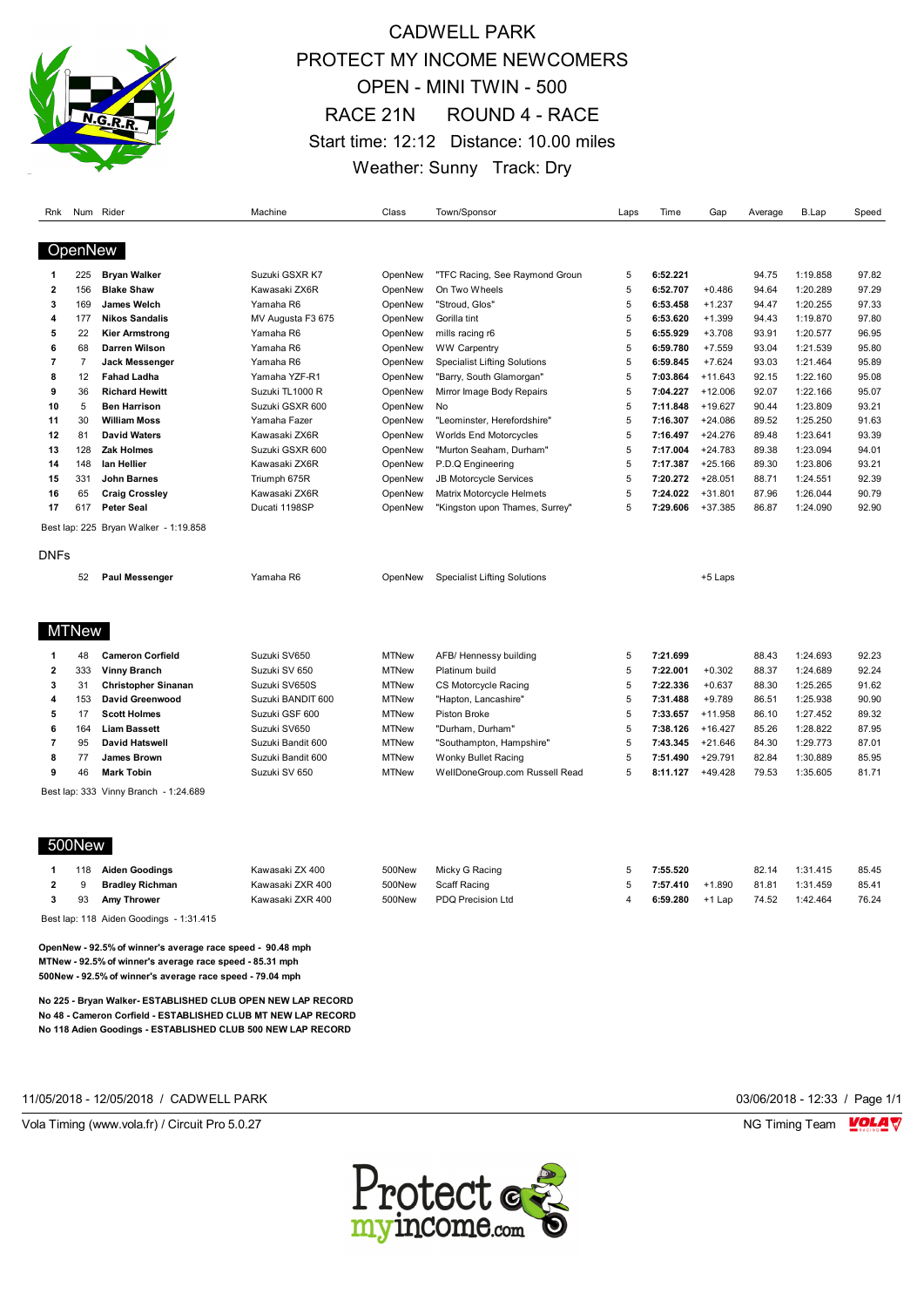

## CADWELL PARK PROTECT MY INCOME NEWCOMERS OPEN - MINI TWIN - 500 RACE 21N ROUND 4 - RACE Start time: 12:12 Distance: 10.00 miles Weather: Sunny Track: Dry

| Rnk                     | Num Rider      |                                                            | Machine           | Class        | Town/Sponsor                        | Laps                    | Time     | Gap       | Average | B.Lap    | Speed |
|-------------------------|----------------|------------------------------------------------------------|-------------------|--------------|-------------------------------------|-------------------------|----------|-----------|---------|----------|-------|
|                         |                |                                                            |                   |              |                                     |                         |          |           |         |          |       |
|                         | OpenNew        |                                                            |                   |              |                                     |                         |          |           |         |          |       |
| 1                       | 225            | <b>Bryan Walker</b>                                        | Suzuki GSXR K7    | OpenNew      | "TFC Racing, See Raymond Groun      | 5                       | 6:52.221 |           | 94.75   | 1:19.858 | 97.82 |
| $\mathbf{2}$            | 156            | <b>Blake Shaw</b>                                          | Kawasaki ZX6R     | OpenNew      | On Two Wheels                       | 5                       | 6:52.707 | $+0.486$  | 94.64   | 1:20.289 | 97.29 |
| 3                       | 169            | <b>James Welch</b>                                         | Yamaha R6         | OpenNew      | "Stroud, Glos"                      | 5                       | 6:53.458 | $+1.237$  | 94.47   | 1:20.255 | 97.33 |
| 4                       | 177            | <b>Nikos Sandalis</b>                                      | MV Augusta F3 675 | OpenNew      | Gorilla tint                        | 5                       | 6:53.620 | $+1.399$  | 94.43   | 1:19.870 | 97.80 |
| 5                       | 22             | <b>Kier Armstrong</b>                                      | Yamaha R6         | OpenNew      | mills racing r6                     | 5                       | 6:55.929 | $+3.708$  | 93.91   | 1:20.577 | 96.95 |
| 6                       | 68             | Darren Wilson                                              | Yamaha R6         | OpenNew      | <b>WW Carpentry</b>                 | 5                       | 6:59.780 | $+7.559$  | 93.04   | 1:21.539 | 95.80 |
| $\overline{7}$          | $\overline{7}$ | <b>Jack Messenger</b>                                      | Yamaha R6         | OpenNew      | <b>Specialist Lifting Solutions</b> | 5                       | 6:59.845 | $+7.624$  | 93.03   | 1:21.464 | 95.89 |
| 8                       | 12             | <b>Fahad Ladha</b>                                         | Yamaha YZF-R1     | OpenNew      | "Barry, South Glamorgan"            | 5                       | 7:03.864 | $+11.643$ | 92.15   | 1:22.160 | 95.08 |
| 9                       | 36             | <b>Richard Hewitt</b>                                      | Suzuki TL1000 R   | OpenNew      | Mirror Image Body Repairs           | 5                       | 7:04.227 | $+12.006$ | 92.07   | 1:22.166 | 95.07 |
| 10                      | 5              | <b>Ben Harrison</b>                                        | Suzuki GSXR 600   | OpenNew      | No                                  | 5                       | 7:11.848 | $+19.627$ | 90.44   | 1:23.809 | 93.21 |
| 11                      | 30             | <b>William Moss</b>                                        | Yamaha Fazer      | OpenNew      | "Leominster, Herefordshire"         | 5                       | 7:16.307 | $+24.086$ | 89.52   | 1:25.250 | 91.63 |
| 12                      | 81             | <b>David Waters</b>                                        | Kawasaki ZX6R     | OpenNew      | <b>Worlds End Motorcycles</b>       | 5                       | 7:16.497 | $+24.276$ | 89.48   | 1:23.641 | 93.39 |
| 13                      | 128            | Zak Holmes                                                 | Suzuki GSXR 600   | OpenNew      | "Murton Seaham, Durham"             | 5                       | 7:17.004 | $+24.783$ | 89.38   | 1:23.094 | 94.01 |
| 14                      | 148            | lan Hellier                                                | Kawasaki ZX6R     | OpenNew      | P.D.Q Engineering                   | 5                       | 7:17.387 | $+25.166$ | 89.30   | 1:23.806 | 93.21 |
| 15                      | 331            | <b>John Barnes</b>                                         | Triumph 675R      | OpenNew      | JB Motorcycle Services              | 5                       | 7:20.272 | $+28.051$ | 88.71   | 1:24.551 | 92.39 |
| 16                      | 65             | <b>Craig Crossley</b>                                      | Kawasaki ZX6R     | OpenNew      | Matrix Motorcycle Helmets           | 5                       | 7:24.022 | $+31.801$ | 87.96   | 1:26.044 | 90.79 |
| 17                      | 617            | <b>Peter Seal</b>                                          | Ducati 1198SP     | OpenNew      | "Kingston upon Thames, Surrey"      | 5                       | 7:29.606 | $+37.385$ | 86.87   | 1:24.090 | 92.90 |
|                         |                | Best lap: 225 Bryan Walker - 1:19.858                      |                   |              |                                     |                         |          |           |         |          |       |
| <b>DNFs</b>             |                |                                                            |                   |              |                                     |                         |          |           |         |          |       |
|                         |                |                                                            |                   |              |                                     |                         |          |           |         |          |       |
|                         | 52             | Paul Messenger                                             | Yamaha R6         | OpenNew      | <b>Specialist Lifting Solutions</b> |                         |          | +5 Laps   |         |          |       |
|                         |                |                                                            |                   |              |                                     |                         |          |           |         |          |       |
|                         | <b>MTNew</b>   |                                                            |                   |              |                                     |                         |          |           |         |          |       |
| -1                      | 48             | <b>Cameron Corfield</b>                                    | Suzuki SV650      | <b>MTNew</b> | AFB/Hennessy building               | 5                       | 7:21.699 |           | 88.43   | 1:24.693 | 92.23 |
| $\overline{\mathbf{2}}$ | 333            | <b>Vinny Branch</b>                                        | Suzuki SV 650     | <b>MTNew</b> | Platinum build                      | 5                       | 7:22.001 | $+0.302$  | 88.37   | 1:24.689 | 92.24 |
| 3                       | 31             | <b>Christopher Sinanan</b>                                 | Suzuki SV650S     | <b>MTNew</b> | CS Motorcycle Racing                | 5                       | 7:22.336 | $+0.637$  | 88.30   | 1:25.265 | 91.62 |
| 4                       | 153            | David Greenwood                                            | Suzuki BANDIT 600 | <b>MTNew</b> | "Hapton, Lancashire"                | 5                       | 7:31.488 | $+9.789$  | 86.51   | 1:25.938 | 90.90 |
| 5                       | 17             | <b>Scott Holmes</b>                                        | Suzuki GSF 600    | <b>MTNew</b> | Piston Broke                        | 5                       | 7:33.657 | $+11.958$ | 86.10   | 1:27.452 | 89.32 |
| 6                       | 164            | <b>Liam Bassett</b>                                        | Suzuki SV650      | <b>MTNew</b> | "Durham, Durham"                    | 5                       | 7:38.126 | $+16.427$ | 85.26   | 1:28.822 | 87.95 |
| 7                       | 95             | <b>David Hatswell</b>                                      | Suzuki Bandit 600 | <b>MTNew</b> | "Southampton, Hampshire"            | 5                       | 7:43.345 | $+21.646$ | 84.30   | 1:29.773 | 87.01 |
| 8                       | 77             | James Brown                                                | Suzuki Bandit 600 | <b>MTNew</b> | Wonky Bullet Racing                 | 5                       | 7:51.490 | $+29.791$ | 82.84   | 1:30.889 | 85.95 |
| 9                       | 46             | <b>Mark Tobin</b>                                          | Suzuki SV 650     | <b>MTNew</b> | WellDoneGroup.com Russell Read      | 5                       | 8:11.127 | $+49.428$ | 79.53   | 1:35.605 | 81.71 |
|                         |                | Best lap: 333 Vinny Branch - 1:24.689                      |                   |              |                                     |                         |          |           |         |          |       |
|                         |                |                                                            |                   |              |                                     |                         |          |           |         |          |       |
|                         |                |                                                            |                   |              |                                     |                         |          |           |         |          |       |
|                         | 500New         |                                                            |                   |              |                                     |                         |          |           |         |          |       |
| 1                       | 118            | <b>Aiden Goodings</b>                                      | Kawasaki ZX 400   | 500New       | Micky G Racing                      | 5                       | 7:55.520 |           | 82.14   | 1:31.415 | 85.45 |
| $\mathbf{2}$            | 9              | <b>Bradley Richman</b>                                     | Kawasaki ZXR 400  | 500New       | Scaff Racing                        | 5                       | 7:57.410 | $+1.890$  | 81.81   | 1:31.459 | 85.41 |
| 3                       | 93             | Amy Thrower                                                | Kawasaki ZXR 400  | 500New       | PDQ Precision Ltd                   | $\overline{\mathbf{4}}$ | 6:59.280 | $+1$ Lap  | 74.52   | 1:42.464 | 76.24 |
|                         |                | Best lap: 118 Aiden Goodings - 1:31.415                    |                   |              |                                     |                         |          |           |         |          |       |
|                         |                | OpenNew - 92.5% of winner's average race speed - 90.48 mph |                   |              |                                     |                         |          |           |         |          |       |

**MTNew - 92.5% of winner's average race speed - 85.31 mph 500New - 92.5% of winner's average race speed - 79.04 mph**

**No 225 - Bryan Walker- ESTABLISHED CLUB OPEN NEW LAP RECORD No 48 - Cameron Corfield - ESTABLISHED CLUB MT NEW LAP RECORD No 118 Adien Goodings - ESTABLISHED CLUB 500 NEW LAP RECORD**

11/05/2018 - 12/05/2018 / CADWELL PARK 03/06/2018 - 12:33 / Page 1/1

Vola Timing (www.vola.fr) / Circuit Pro 5.0.27 NG Timing Team NG Timing Team NG Timing Team NG Timing Team NG

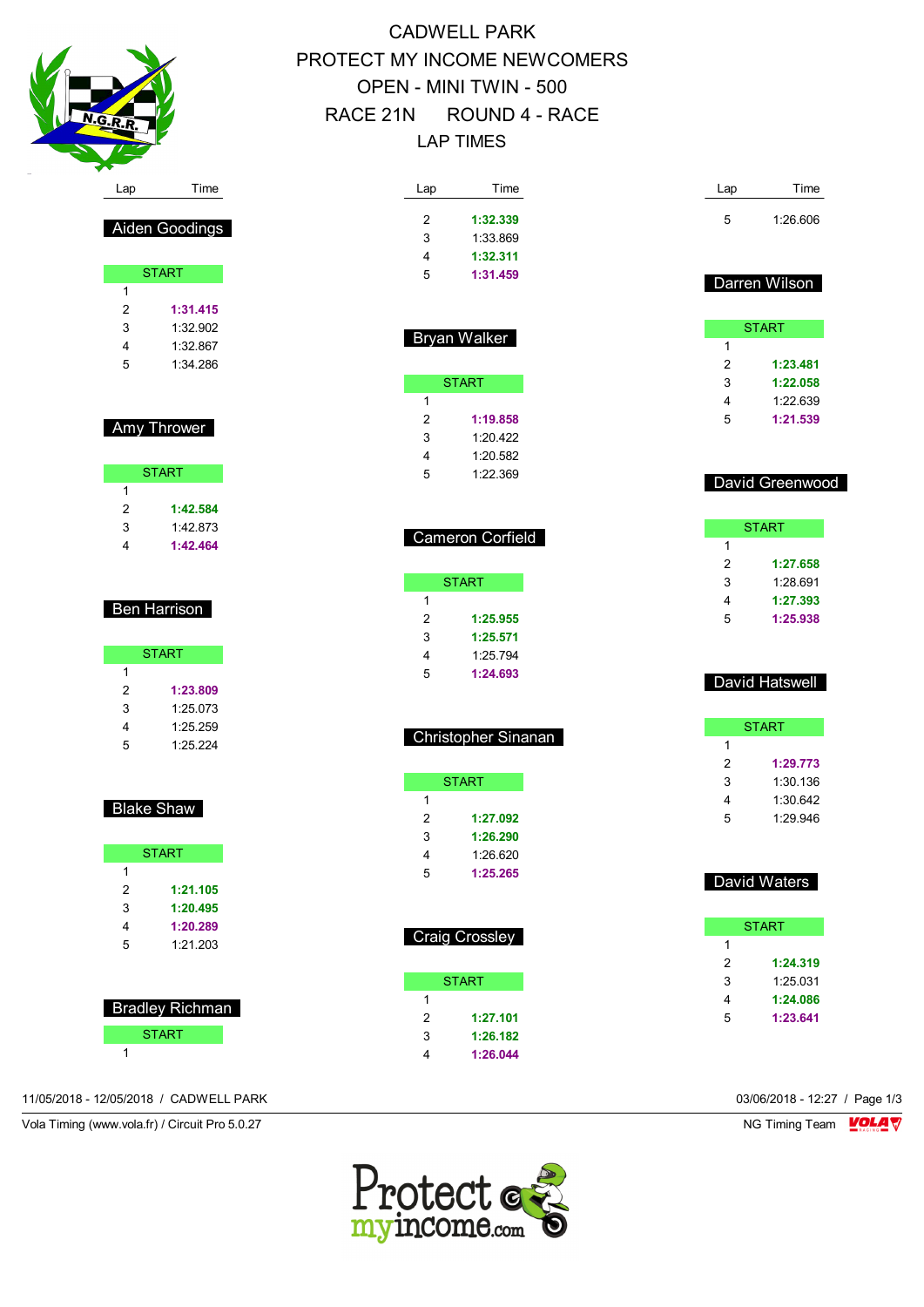

Aiden Goodings

START

 **1:31.415** 1:32.902 1:32.867 1:34.286

Amy Thrower

START

 **1:42.584** 1:42.873 **1:42.464**

Ben Harrison

**START** 

 **1:23.809** 1:25.073 1:25.259 1:25.224

Blake Shaw

START **START** 

 **1:21.105 1:20.495 1:20.289** 1:21.203

 Bradley Richman START

# CADWELL PARK PROTECT MY INCOME NEWCOMERS OPEN - MINI TWIN - 500 RACE 21N ROUND 4 - RACE LAP TIMES

| Time<br>Lap                            | Time<br>Lap                |
|----------------------------------------|----------------------------|
| 2<br>1:32.339                          | 5<br>1:26.606              |
| 3<br>1:33.869                          |                            |
| 4<br>1:32.311                          |                            |
| 5<br>1:31.459                          |                            |
|                                        | Darren Wilson              |
| <b>Bryan Walker</b>                    | <b>START</b>               |
|                                        | 1                          |
|                                        | 2<br>1:23.481              |
| <b>START</b>                           | 3<br>1:22.058              |
| 1                                      | 4<br>1:22.639              |
| 2<br>1:19.858                          | 5<br>1:21.539              |
| 3<br>1:20.422                          |                            |
| 4<br>1:20.582                          |                            |
| 1:22.369<br>5                          | David Greenwood            |
|                                        |                            |
| Cameron Corfield                       | <b>START</b>               |
|                                        | 1                          |
|                                        | 2<br>1:27.658              |
| <b>START</b>                           | 3<br>1:28.691              |
| 1                                      | 4<br>1:27.393              |
| 2<br>1:25.955                          | 5<br>1:25.938              |
| 3<br>1:25.571                          |                            |
| 4<br>1:25.794                          |                            |
| 5<br>1:24.693                          | David Hatswell             |
|                                        |                            |
| Christopher Sinanan                    | <b>START</b>               |
|                                        | 1                          |
|                                        | 2<br>1:29.773              |
|                                        |                            |
| <b>START</b>                           | 3<br>1:30.136              |
| 1                                      | 1:30.642<br>4              |
| 2<br>1:27.092                          | 1:29.946<br>5              |
| 3<br>1:26.290                          |                            |
| 4<br>1:26.620                          |                            |
| 5<br>1:25.265                          | David Waters               |
|                                        |                            |
|                                        | <b>START</b><br>1          |
|                                        | $\overline{2}$<br>1:24.319 |
| <b>START</b>                           | 3<br>1:25.031              |
| 1                                      | 4<br>1:24.086              |
| 2<br>1:27.101                          | 5<br>1:23.641              |
| <b>Craig Crossley</b><br>3<br>1:26.182 |                            |

11/05/2018 - 12/05/2018 / CADWELL PARK 03/06/2018 - 12:27 / Page 1/3

Vola Timing (www.vola.fr) / Circuit Pro 5.0.27 NG Timing Team VOLA V



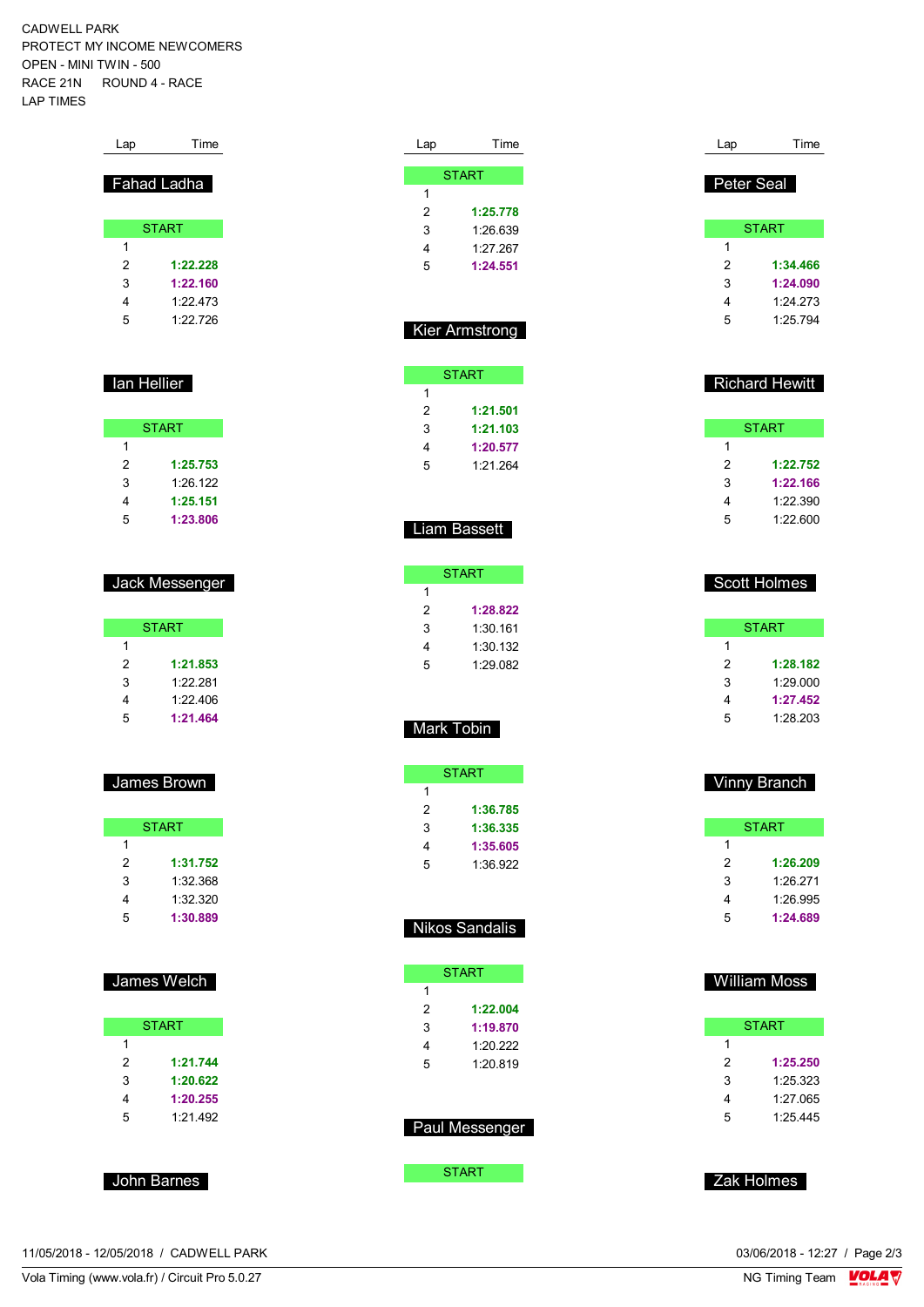CADWELL PARK PROTECT MY INCOME NEWCOMERS OPEN - MINI TWIN - 500 RACE 21N ROUND 4 - RACE LAP TIMES

| Lap | Time         |
|-----|--------------|
|     | Fahad Ladha  |
|     | <b>START</b> |
| 1   |              |
| 2   | 1:22.228     |
| 3   | 1:22.160     |
| 4   | 1.22 473     |
| 5   | 1.22726      |
|     |              |

### **Ian Hellier**

|   | <b>START</b> |
|---|--------------|
| 1 |              |
| 2 | 1:25.753     |
| 3 | 1:26.122     |
| 4 | 1:25.151     |
| 5 | 1:23.806     |

### Jack Messenger

|   | <b>START</b> |
|---|--------------|
| 1 |              |
| 2 | 1:21.853     |
| 3 | 1.22.281     |
| 4 | 1.22406      |
| 5 | 1:21.464     |

### James Brown

|   | <b>START</b> |
|---|--------------|
| 1 |              |
| 2 | 1:31.752     |
| 3 | 1:32.368     |
| 4 | 1:32.320     |
| 5 | 1:30.889     |

### James Welch

|   | <b>START</b> |
|---|--------------|
|   |              |
| 1 |              |
| 2 | 1:21.744     |
| 3 | 1:20.622     |
| 4 | 1:20.255     |
| 5 | 1.21492      |

### John Barnes

| Lap | Time         |
|-----|--------------|
|     |              |
|     | <b>START</b> |
| 1   |              |
| 2   | 1:25.778     |
| 3   | 1:26.639     |
| 4   | 1:27.267     |
| 5   | 1:24.551     |
|     |              |

### Kier Armstrong

|   | <b>START</b> |
|---|--------------|
| 1 |              |
| 2 | 1:21.501     |
| 3 | 1:21.103     |
| 4 | 1:20.577     |
| 5 | 1.21264      |

### Liam Bassett

| START    |
|----------|
|          |
| 1:28.822 |
| 1:30.161 |
| 1:30.132 |
| 1.29082  |
|          |

### Mark Tobin

|   | START    |
|---|----------|
| 1 |          |
| 2 | 1:36.785 |
| 3 | 1:36.335 |
| 4 | 1:35.605 |
| 5 | 1:36.922 |

### Nikos Sandalis

|   | <b>START</b>   |  |  |  |  |  |  |  |  |  |  |  |  |  |
|---|----------------|--|--|--|--|--|--|--|--|--|--|--|--|--|
| 1 |                |  |  |  |  |  |  |  |  |  |  |  |  |  |
| 2 | 1:22.004       |  |  |  |  |  |  |  |  |  |  |  |  |  |
| 3 | 1:19.870       |  |  |  |  |  |  |  |  |  |  |  |  |  |
| 4 | 1.20.222       |  |  |  |  |  |  |  |  |  |  |  |  |  |
| 5 | 1:20.819       |  |  |  |  |  |  |  |  |  |  |  |  |  |
|   |                |  |  |  |  |  |  |  |  |  |  |  |  |  |
|   |                |  |  |  |  |  |  |  |  |  |  |  |  |  |
|   | Paul Messenger |  |  |  |  |  |  |  |  |  |  |  |  |  |
|   |                |  |  |  |  |  |  |  |  |  |  |  |  |  |

**START** 

### Peter Seal **START 1:34.466 1:24.090** 1:24.273 1:25.794

### Richard Hewitt

Lap Time

| START |          |  |  |  |  |  |  |  |  |  |
|-------|----------|--|--|--|--|--|--|--|--|--|
| 1     |          |  |  |  |  |  |  |  |  |  |
| 2     | 1:22,752 |  |  |  |  |  |  |  |  |  |
| 3     | 1:22.166 |  |  |  |  |  |  |  |  |  |
| 4     | 1:22.390 |  |  |  |  |  |  |  |  |  |
| 5     | 1:22.600 |  |  |  |  |  |  |  |  |  |

### Scott Holmes

|   | START    |
|---|----------|
| 1 |          |
| 2 | 1:28.182 |
| 3 | 1:29.000 |
| 4 | 1:27.452 |
| 5 | 1:28.203 |

### Vinny Branch

| <b>START</b> |          |  |  |  |  |  |  |  |  |  |  |
|--------------|----------|--|--|--|--|--|--|--|--|--|--|
| 1            |          |  |  |  |  |  |  |  |  |  |  |
| 2            | 1:26.209 |  |  |  |  |  |  |  |  |  |  |
| 3            | 1.26.271 |  |  |  |  |  |  |  |  |  |  |
| 4            | 1:26.995 |  |  |  |  |  |  |  |  |  |  |
| 5            | 1:24.689 |  |  |  |  |  |  |  |  |  |  |

### William Moss

|   | START    |
|---|----------|
| 1 |          |
| 2 | 1:25.250 |
| 3 | 1:25.323 |
| 4 | 1:27.065 |
| 5 | 1:25.445 |

Zak Holmes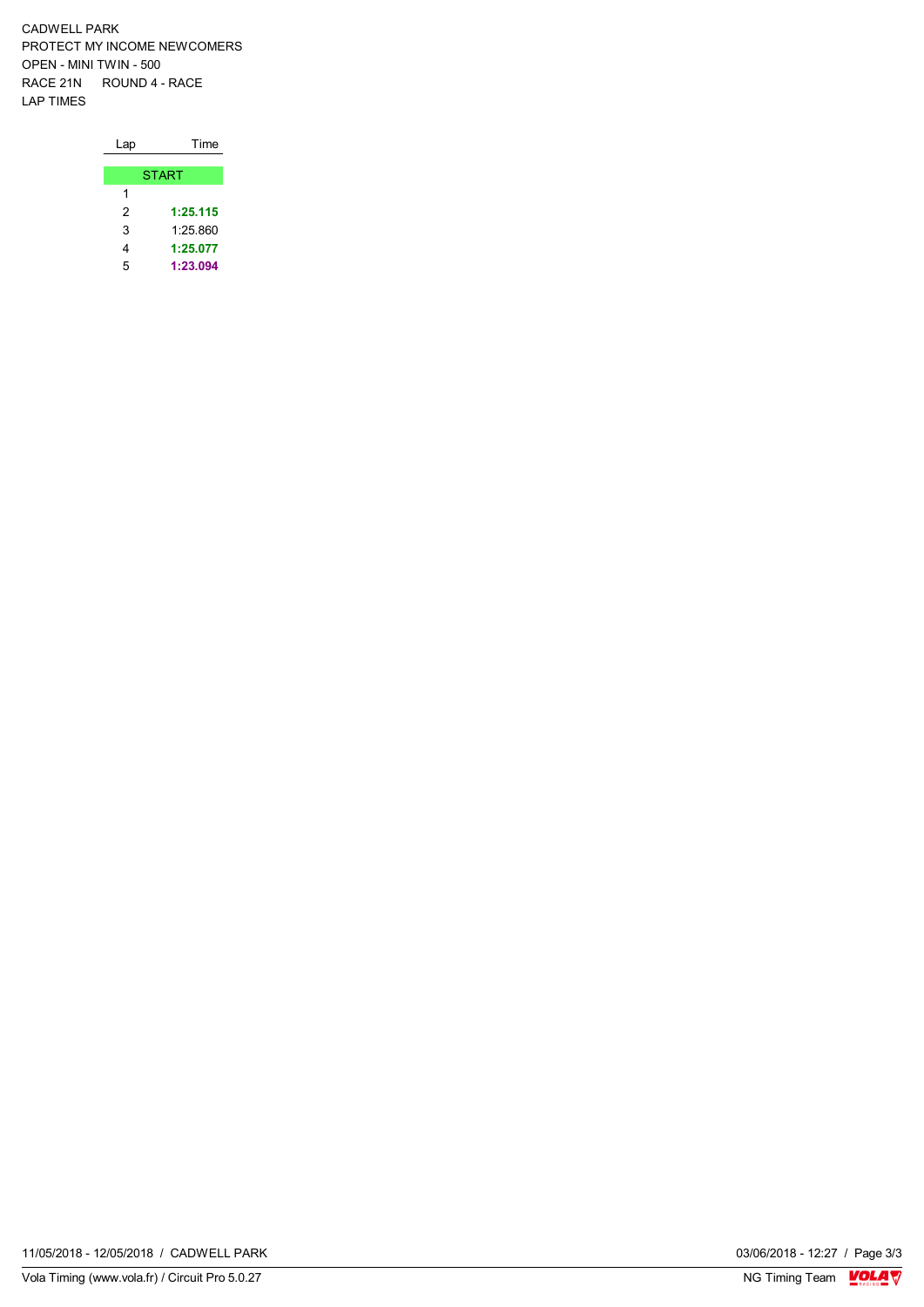CADWELL PARK PROTECT MY INCOME NEWCOMERS OPEN - MINI TWIN - 500 RACE 21N ROUND 4 - RACE LAP TIMES

| Lap | Time         |
|-----|--------------|
|     |              |
|     | <b>START</b> |
| 1   |              |
| 2   | 1:25.115     |
| 3   | 1.25 860     |
| 4   | 1:25.077     |
| 5   | 1:23.094     |

03/06/2018 - 12:27 / Page 3/3<br>NG Timing Team  $\frac{\text{VOLA}}{\text{V}}$